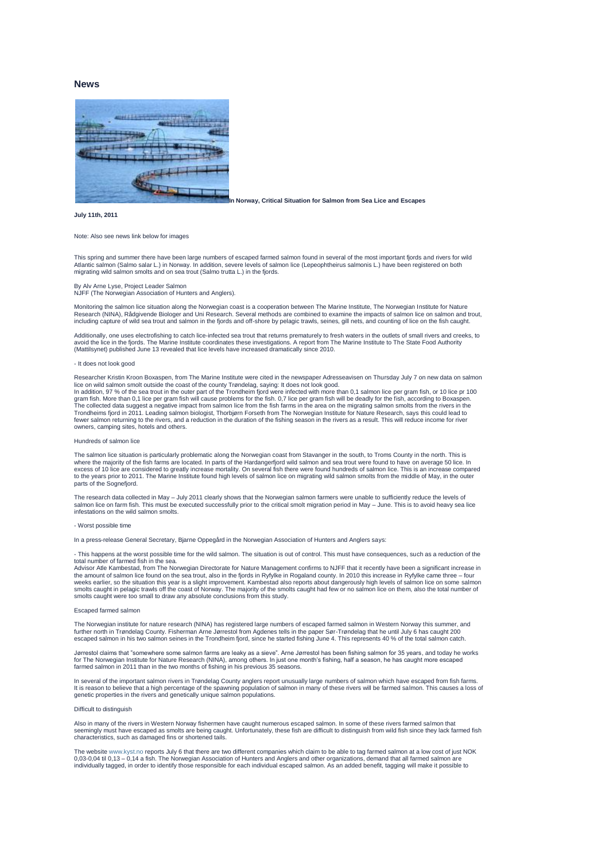# **News**



**In Norway, Critical Situation for Salmon from Sea Lice and Escapes**

# **July 11th, 2011**

# Note: Also see news link below for images

This spring and summer there have been large numbers of escaped farmed salmon found in several of the most important fjords and rivers for wild<br>Atlantic salmon (Salmo salar L.) in Norway. In addition, severe levels of salm migrating wild salmon smolts and on sea trout (Salmo trutta L.) in the fiords.

# By Alv Arne Lyse, Project Leader Salmon NJFF (The Norwegian Association of Hunters and Anglers).

Monitoring the salmon lice situation along the Norwegian coast is a cooperation between The Marine Institute, The Norwegian Institute for Nature Research (NINA), Rådgivende Biologer and Uni Research. Several methods are combined to examine the impacts of salmon lice on salmon and trout,<br>including capture of wild sea trout and salmon in the fjords and off-shore by p

Additionally, one uses electrofishing to catch lice-infected sea trout that returns prematurely to fresh waters in the outlets of small rivers and creeks, to avoid the lice in the fjords. The Marine Institute coordinates these investigations. A report from The Marine Institute to The State Food Authority (Mattilsynet) published June 13 revealed that lice levels have increased dramatically since 2010.

#### - It does not look good

Researcher Kristin Kroon Boxaspen, from The Marine Institute were cited in the newspaper Adresseavisen on Thursday July 7 on new data on salmon lice on wild salmon smolt outside the coast of the county Trøndelag, saying: It does not look good.

In addition, 97 % of the sea trout in the outer part of the Trondheim fjord were infected with more than 0,1 salmon lice per gram fish, or 10 lice pr 100<br>gram fish. More than 0,1 lice per gram fish will cause problems for Trondheims fjord in 2011. Leading salmon biologist, Thorbjørn Forseth from The Norwegian Institute for Nature Research, says this could lead to fewer salmon returning to the rivers, and a reduction in the duration of the fishing season in the rivers as a result. This will reduce income for river owners, camping sites, hotels and others.

#### Hundreds of salmon lice

The salmon lice situation is particularly problematic along the Norwegian coast from Stavanger in the south, to Troms County in the north. This is<br>where the majority of the fish farms are located. In parts of the Hardanger excess of 10 lice are considered to greatly increase mortality. On several fish there were found hundreds of salmon lice. This is an increase compared<br>to the years prior to 2011. The Marine Institute found high levels of s parts of the Sognefiord.

The research data collected in May – July 2011 clearly shows that the Norwegian salmon farmers were unable to sufficiently reduce the levels of salmon lice on farm fish. This must be executed successfully prior to the critical smolt migration period in May – June. This is to avoid heavy sea lice infestations on the wild salmon smolts.

#### - Worst possible time

In a press-release General Secretary, Bjarne Oppegård in the Norwegian Association of Hunters and Anglers says:

- This happens at the worst possible time for the wild salmon. The situation is out of control. This must have consequences, such as a reduction of the total number of farmed fish in the sea.

Advisor Atle Kambestad, from The Norwegian Directorate for Nature Management confirms to NJFF that it recently have been a significant increase in the amount of salmon lice found on the sea trout, also in the fjords in Ryfylke in Rogaland county. In 2010 this increase in Ryfylke came three – four<br>weeks earlier, so the situation this year is a slight improvement. Kamb

### Escaped farmed salmon

The Norwegian institute for nature research (NINA) has registered large numbers of escaped farmed salmon in Western Norway this summer, and<br>further north in Trøndelag County. Fisherman Arne Jørrestol from Agdenes tells in escaped salmon in his two salmon seines in the Trondheim fiord, since he started fishing June 4. This represents 40 % of the total salmon catch.

Jørrestol claims that "somewhere some salmon farms are leaky as a sieve". Arne Jørrestol has been fishing salmon for 35 years, and today he works for The Norwegian Institute for Nature Research (NINA), among others. In just one month's fishing, half a season, he has caught more escaped farmed salmon in 2011 than in the two months of fishing in his previous 35 seasons.

In several of the important salmon rivers in Trøndelag County anglers report unusually large numbers of salmon which have escaped from fish farms. It is reason to believe that a high percentage of the spawning population of salmon in many of these rivers will be farmed salmon. This causes a loss of genetic properties in the rivers and genetically unique salmon populations.

# Difficult to distinguish

Also in many of the rivers in Western Norway fishermen have caught numerous escaped salmon. In some of these rivers farmed salmon that seemingly must have escaped as smolts are being caught. Unfortunately, these fish are difficult to distinguish from wild fish since they lack farmed fish characteristics, such as damaged fins or shortened tails.

w.kyst.no reports July 6 that there are two different companies which claim to be able to tag farmed salmon at a low cost of just NOK 0,03-0,04 til 0,13 – 0,14 a fish. The Norwegian Association of Hunters and Anglers and other organizations, demand that all farmed salmon are<br>individually tagged, in order to identify those responsible for each individual